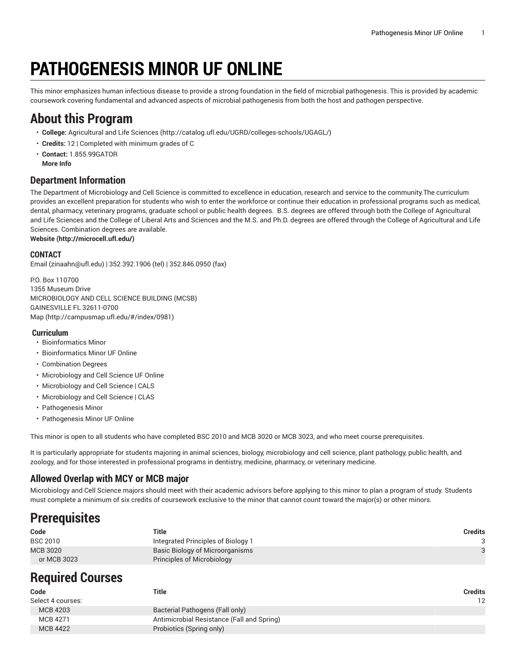# **PATHOGENESIS MINOR UF ONLINE**

This minor emphasizes human infectious disease to provide a strong foundation in the field of microbial pathogenesis. This is provided by academic coursework covering fundamental and advanced aspects of microbial pathogenesis from both the host and pathogen perspective.

### **About this Program**

- **College:** [Agricultural](http://catalog.ufl.edu/UGRD/colleges-schools/UGAGL/) and Life Sciences ([http://catalog.ufl.edu/UGRD/colleges-schools/UGAGL/\)](http://catalog.ufl.edu/UGRD/colleges-schools/UGAGL/)
- **Credits:** 12 | Completed with minimum grades of C
- **Contact:** 1.855.99GATOR **More Info**

#### **Department Information**

The Department of Microbiology and Cell Science is committed to excellence in education, research and service to the community.The curriculum provides an excellent preparation for students who wish to enter the workforce or continue their education in professional programs such as medical, dental, pharmacy, veterinary programs, graduate school or public health degrees. B.S. degrees are offered through both the College of Agricultural and Life Sciences and the College of Liberal Arts and Sciences and the M.S. and Ph.D. degrees are offered through the College of Agricultural and Life Sciences. Combination degrees are available.

**[Website](http://microcell.ufl.edu/) ([http://microcell.ufl.edu/\)](http://microcell.ufl.edu/)**

#### **CONTACT**

[Email](mailto:zinaahn@ufl.edu) (<zinaahn@ufl.edu>) | 352.392.1906 (tel) | 352.846.0950 (fax)

P.O. Box 110700 1355 Museum Drive MICROBIOLOGY AND CELL SCIENCE BUILDING (MCSB) GAINESVILLE FL 32611-0700 [Map](http://campusmap.ufl.edu/#/index/0981) ([http://campusmap.ufl.edu/#/index/0981\)](http://campusmap.ufl.edu/#/index/0981)

#### **Curriculum**

- Bioinformatics Minor
- Bioinformatics Minor UF Online
- Combination Degrees
- Microbiology and Cell Science UF Online
- Microbiology and Cell Science | CALS
- Microbiology and Cell Science | CLAS
- Pathogenesis Minor
- Pathogenesis Minor UF Online

This minor is open to all students who have completed BSC 2010 and MCB 3020 or MCB 3023, and who meet course prerequisites.

It is particularly appropriate for students majoring in animal sciences, biology, microbiology and cell science, plant pathology, public health, and zoology, and for those interested in professional programs in dentistry, medicine, pharmacy, or veterinary medicine.

### **Allowed Overlap with MCY or MCB major**

Microbiology and Cell Science majors should meet with their academic advisors before applying to this minor to plan a program of study. Students must complete a minimum of six credits of coursework exclusive to the minor that cannot count toward the major(s) or other minors.

### **Prerequisites**

| Code            | Title                              | <b>Credits</b> |
|-----------------|------------------------------------|----------------|
| <b>BSC 2010</b> | Integrated Principles of Biology 1 |                |
| MCB 3020        | Basic Biology of Microorganisms    |                |
| or MCB 3023     | Principles of Microbiology         |                |

## **Required Courses**

| Code              | Title                                      | Credits |
|-------------------|--------------------------------------------|---------|
| Select 4 courses: |                                            | 12      |
| <b>MCB 4203</b>   | Bacterial Pathogens (Fall only)            |         |
| MCB 4271          | Antimicrobial Resistance (Fall and Spring) |         |
| <b>MCB 4422</b>   | Probiotics (Spring only)                   |         |